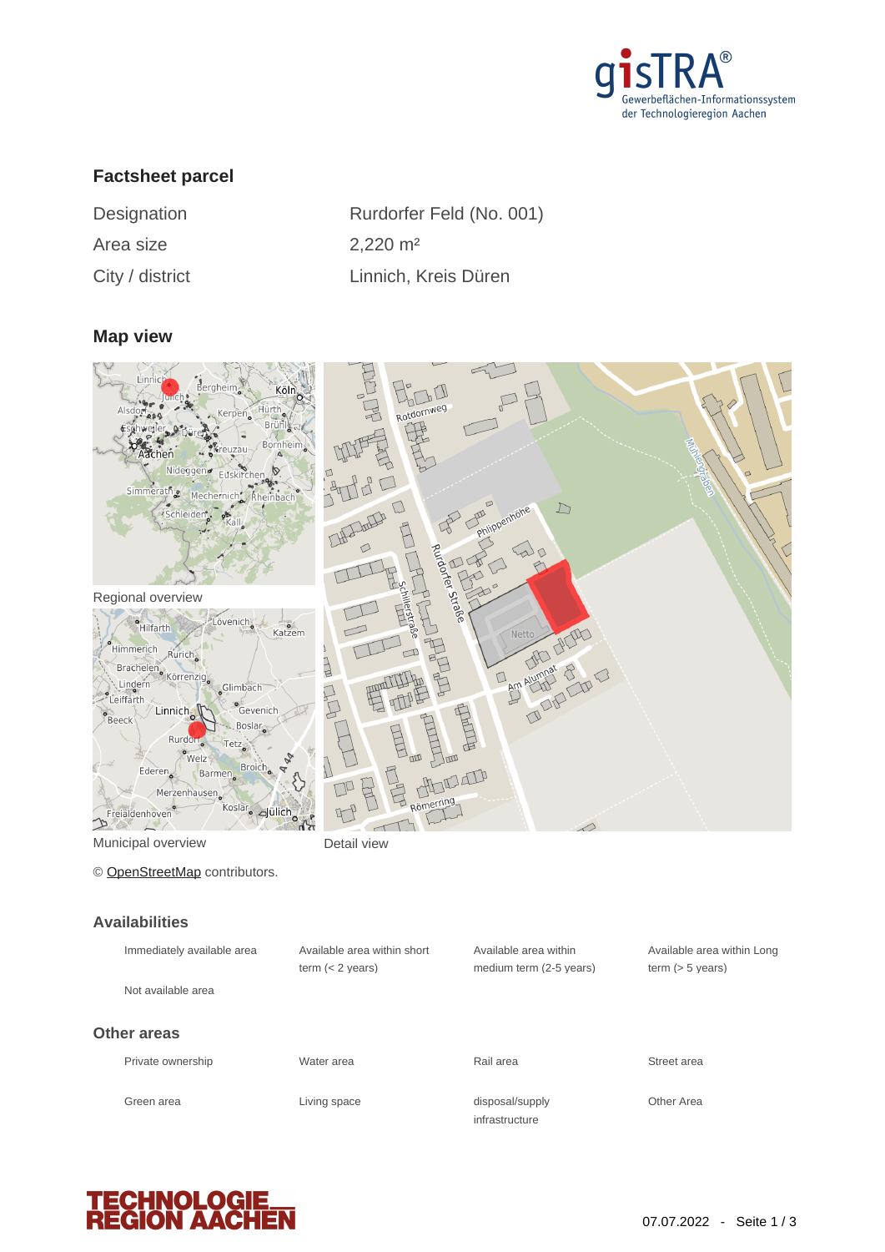

# **Factsheet parcel**

| Designation     |  |
|-----------------|--|
| Area size       |  |
| City / district |  |

Rurdorfer Feld (No. 001)  $2,220 \text{ m}^2$ ty / district Linnich, Kreis Düren

#### **Map view**



Municipal overview **Detail view** 

 $\mathcal{P}$ 

© [OpenStreetMap](http://www.openstreetmap.org/copyright) contributors.

#### **Availabilities**

| Immediately available area | Available area within short<br>term $(< 2$ years) | Available area within<br>medium term (2-5 years) | Available area within Long<br>term $(> 5$ years) |
|----------------------------|---------------------------------------------------|--------------------------------------------------|--------------------------------------------------|
| Not available area         |                                                   |                                                  |                                                  |
| Other areas                |                                                   |                                                  |                                                  |
| Private ownership          | Water area                                        | Rail area                                        | Street area                                      |
| Green area                 | Living space                                      | disposal/supply<br>infrastructure                | Other Area                                       |

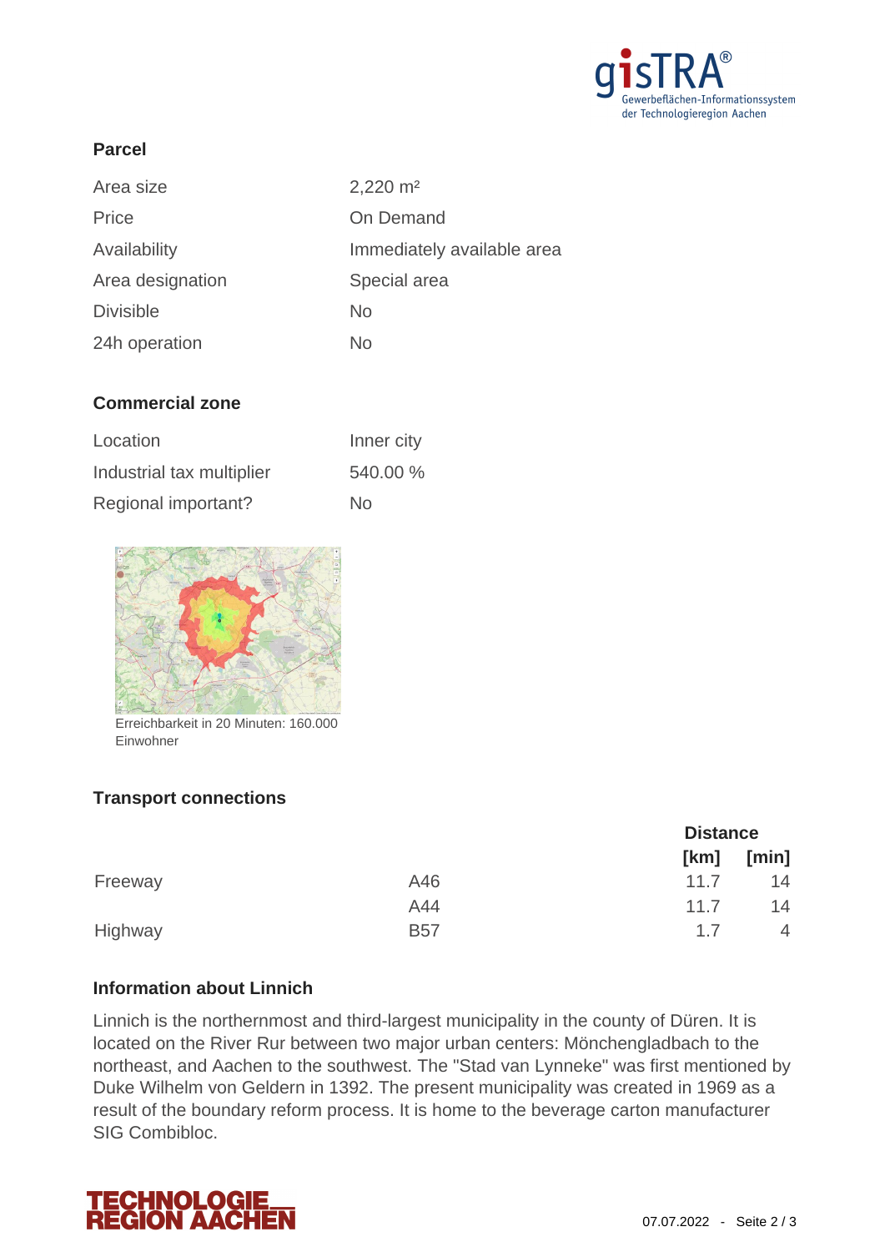

## **Parcel**

| Area size        | $2,220 \text{ m}^2$        |
|------------------|----------------------------|
| Price            | On Demand                  |
| Availability     | Immediately available area |
| Area designation | Special area               |
| <b>Divisible</b> | <b>No</b>                  |
| 24h operation    | No                         |

## **Commercial zone**

| Location                  | Inner city |
|---------------------------|------------|
| Industrial tax multiplier | 540.00 %   |
| Regional important?       | No         |



Einwohner

# **Transport connections**

|         |            |      | <b>Distance</b> |  |
|---------|------------|------|-----------------|--|
|         |            | [km] | [min]           |  |
| Freeway | A46        | 11.7 | 14              |  |
|         | A44        | 11.7 | 14              |  |
| Highway | <b>B57</b> | 17   | 4               |  |

#### **Information about Linnich**

Linnich is the northernmost and third-largest municipality in the county of Düren. It is located on the River Rur between two major urban centers: Mönchengladbach to the northeast, and Aachen to the southwest. The "Stad van Lynneke" was first mentioned by Duke Wilhelm von Geldern in 1392. The present municipality was created in 1969 as a result of the boundary reform process. It is home to the beverage carton manufacturer SIG Combibloc.